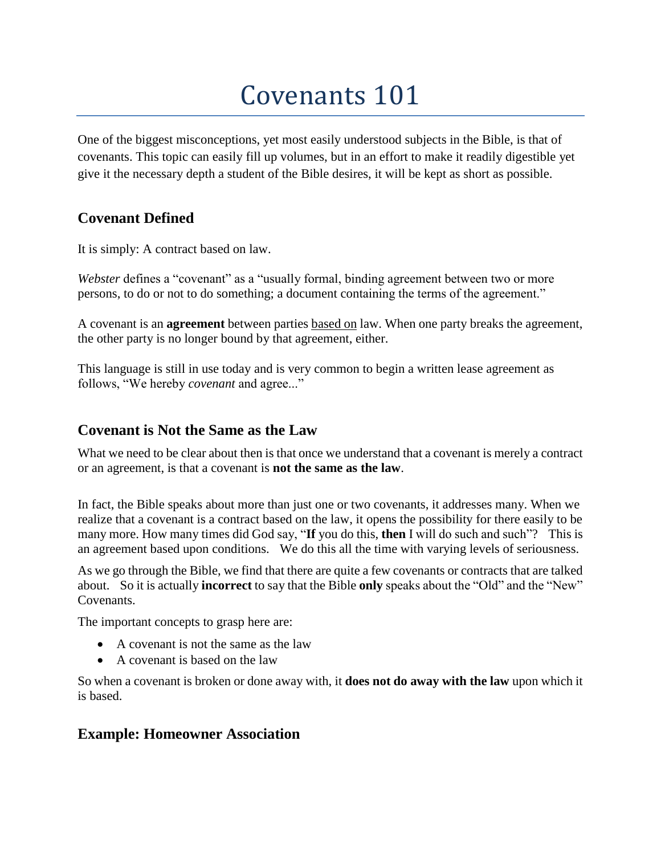# Covenants 101

One of the biggest misconceptions, yet most easily understood subjects in the Bible, is that of covenants. This topic can easily fill up volumes, but in an effort to make it readily digestible yet give it the necessary depth a student of the Bible desires, it will be kept as short as possible.

# **Covenant Defined**

It is simply: A contract based on law.

*Webster* defines a "covenant" as a "usually formal, binding agreement between two or more persons, to do or not to do something; a document containing the terms of the agreement."

A covenant is an **agreement** between parties based on law. When one party breaks the agreement, the other party is no longer bound by that agreement, either.

This language is still in use today and is very common to begin a written lease agreement as follows, "We hereby *covenant* and agree..."

## **Covenant is Not the Same as the Law**

What we need to be clear about then is that once we understand that a covenant is merely a contract or an agreement, is that a covenant is **not the same as the law**.

In fact, the Bible speaks about more than just one or two covenants, it addresses many. When we realize that a covenant is a contract based on the law, it opens the possibility for there easily to be many more. How many times did God say, "**If** you do this, **then** I will do such and such"? This is an agreement based upon conditions. We do this all the time with varying levels of seriousness.

As we go through the Bible, we find that there are quite a few covenants or contracts that are talked about. So it is actually **incorrect** to say that the Bible **only** speaks about the "Old" and the "New" Covenants.

The important concepts to grasp here are:

- A covenant is not the same as the law
- A covenant is based on the law

So when a covenant is broken or done away with, it **does not do away with the law** upon which it is based.

## **Example: Homeowner Association**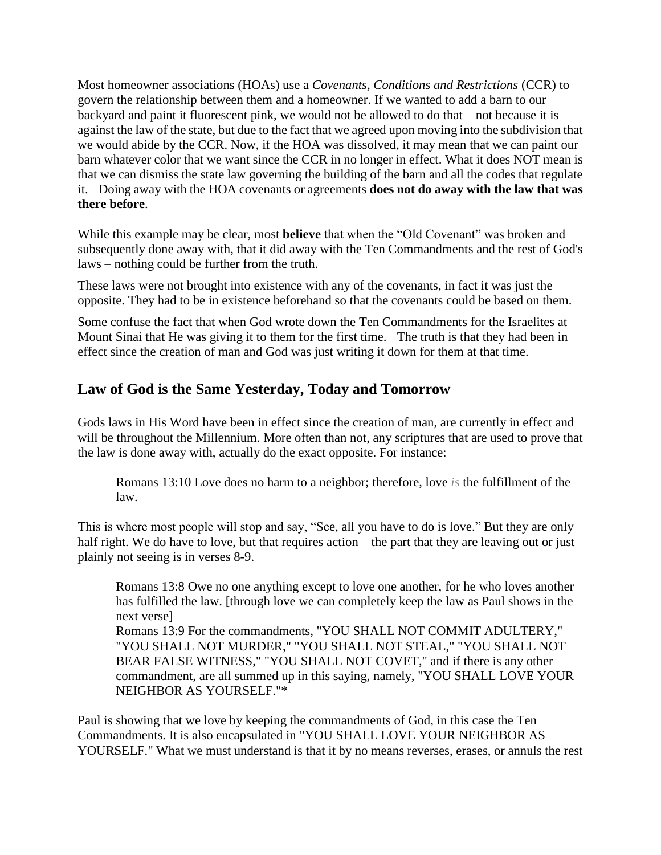Most homeowner associations (HOAs) use a *Covenants, Conditions and Restrictions* (CCR) to govern the relationship between them and a homeowner. If we wanted to add a barn to our backyard and paint it fluorescent pink, we would not be allowed to do that – not because it is against the law of the state, but due to the fact that we agreed upon moving into the subdivision that we would abide by the CCR. Now, if the HOA was dissolved, it may mean that we can paint our barn whatever color that we want since the CCR in no longer in effect. What it does NOT mean is that we can dismiss the state law governing the building of the barn and all the codes that regulate it. Doing away with the HOA covenants or agreements **does not do away with the law that was there before**.

While this example may be clear, most **believe** that when the "Old Covenant" was broken and subsequently done away with, that it did away with the Ten Commandments and the rest of God's laws – nothing could be further from the truth.

These laws were not brought into existence with any of the covenants, in fact it was just the opposite. They had to be in existence beforehand so that the covenants could be based on them.

Some confuse the fact that when God wrote down the Ten Commandments for the Israelites at Mount Sinai that He was giving it to them for the first time. The truth is that they had been in effect since the creation of man and God was just writing it down for them at that time.

# **Law of God is the Same Yesterday, Today and Tomorrow**

Gods laws in His Word have been in effect since the creation of man, are currently in effect and will be throughout the Millennium. More often than not, any scriptures that are used to prove that the law is done away with, actually do the exact opposite. For instance:

Romans 13:10 Love does no harm to a neighbor; therefore, love *is* the fulfillment of the law.

This is where most people will stop and say, "See, all you have to do is love." But they are only half right. We do have to love, but that requires action – the part that they are leaving out or just plainly not seeing is in verses 8-9.

Romans 13:8 Owe no one anything except to love one another, for he who loves another has fulfilled the law. [through love we can completely keep the law as Paul shows in the next verse]

Romans 13:9 For the commandments, "YOU SHALL NOT COMMIT ADULTERY," "YOU SHALL NOT MURDER," "YOU SHALL NOT STEAL," "YOU SHALL NOT BEAR FALSE WITNESS," "YOU SHALL NOT COVET," and if there is any other commandment, are all summed up in this saying, namely, "YOU SHALL LOVE YOUR NEIGHBOR AS YOURSELF."\*

Paul is showing that we love by keeping the commandments of God, in this case the Ten Commandments. It is also encapsulated in "YOU SHALL LOVE YOUR NEIGHBOR AS YOURSELF." What we must understand is that it by no means reverses, erases, or annuls the rest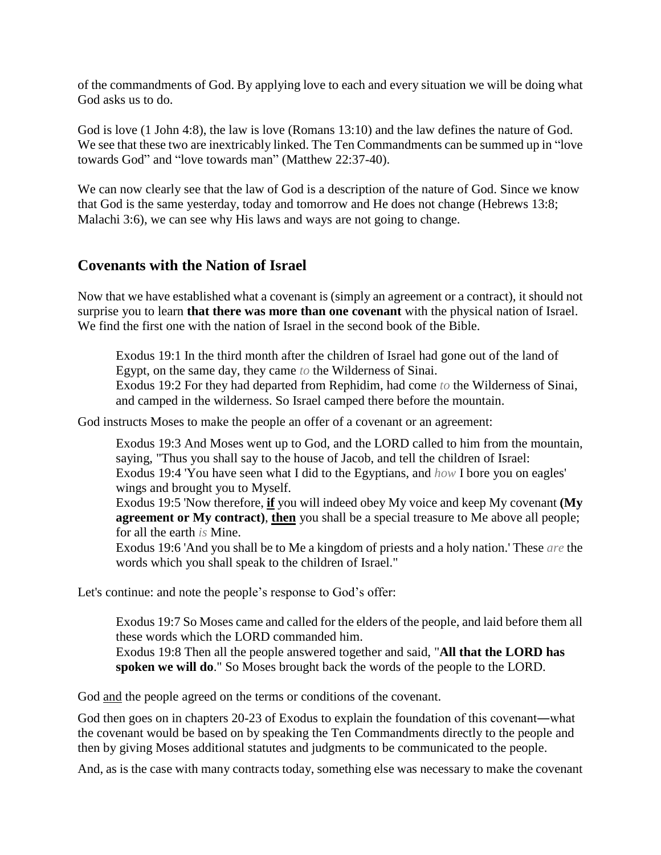of the commandments of God. By applying love to each and every situation we will be doing what God asks us to do.

God is love (1 John 4:8), the law is love (Romans 13:10) and the law defines the nature of God. We see that these two are inextricably linked. The Ten Commandments can be summed up in "love towards God" and "love towards man" (Matthew 22:37-40).

We can now clearly see that the law of God is a description of the nature of God. Since we know that God is the same yesterday, today and tomorrow and He does not change (Hebrews 13:8; Malachi 3:6), we can see why His laws and ways are not going to change.

## **Covenants with the Nation of Israel**

Now that we have established what a covenant is (simply an agreement or a contract), it should not surprise you to learn **that there was more than one covenant** with the physical nation of Israel. We find the first one with the nation of Israel in the second book of the Bible.

Exodus 19:1 In the third month after the children of Israel had gone out of the land of Egypt, on the same day, they came *to* the Wilderness of Sinai.

Exodus 19:2 For they had departed from Rephidim, had come *to* the Wilderness of Sinai, and camped in the wilderness. So Israel camped there before the mountain.

God instructs Moses to make the people an offer of a covenant or an agreement:

Exodus 19:3 And Moses went up to God, and the LORD called to him from the mountain, saying, "Thus you shall say to the house of Jacob, and tell the children of Israel: Exodus 19:4 'You have seen what I did to the Egyptians, and *how* I bore you on eagles'

wings and brought you to Myself.

Exodus 19:5 'Now therefore, **if** you will indeed obey My voice and keep My covenant **(My agreement or My contract)**, **then** you shall be a special treasure to Me above all people; for all the earth *is* Mine.

Exodus 19:6 'And you shall be to Me a kingdom of priests and a holy nation.' These *are* the words which you shall speak to the children of Israel."

Let's continue: and note the people's response to God's offer:

Exodus 19:7 So Moses came and called for the elders of the people, and laid before them all these words which the LORD commanded him.

Exodus 19:8 Then all the people answered together and said, "**All that the LORD has spoken we will do**." So Moses brought back the words of the people to the LORD.

God and the people agreed on the terms or conditions of the covenant.

God then goes on in chapters 20-23 of Exodus to explain the foundation of this covenant―what the covenant would be based on by speaking the Ten Commandments directly to the people and then by giving Moses additional statutes and judgments to be communicated to the people.

And, as is the case with many contracts today, something else was necessary to make the covenant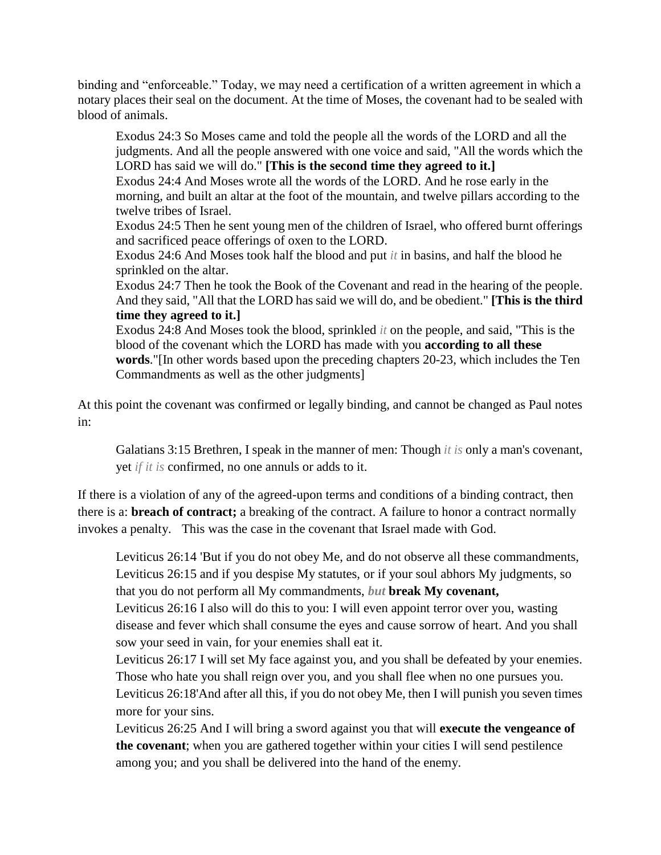binding and "enforceable." Today, we may need a certification of a written agreement in which a notary places their seal on the document. At the time of Moses, the covenant had to be sealed with blood of animals.

Exodus 24:3 So Moses came and told the people all the words of the LORD and all the judgments. And all the people answered with one voice and said, "All the words which the LORD has said we will do." **[This is the second time they agreed to it.]** Exodus 24:4 And Moses wrote all the words of the LORD. And he rose early in the morning, and built an altar at the foot of the mountain, and twelve pillars according to the twelve tribes of Israel. Exodus 24:5 Then he sent young men of the children of Israel, who offered burnt offerings and sacrificed peace offerings of oxen to the LORD. Exodus 24:6 And Moses took half the blood and put *it* in basins, and half the blood he sprinkled on the altar. Exodus 24:7 Then he took the Book of the Covenant and read in the hearing of the people. And they said, "All that the LORD has said we will do, and be obedient." **[This is the third time they agreed to it.]**

Exodus 24:8 And Moses took the blood, sprinkled *it* on the people, and said, "This is the blood of the covenant which the LORD has made with you **according to all these words**."[In other words based upon the preceding chapters 20-23, which includes the Ten Commandments as well as the other judgments]

At this point the covenant was confirmed or legally binding, and cannot be changed as Paul notes in:

Galatians 3:15 Brethren, I speak in the manner of men: Though *it is* only a man's covenant, yet *if it is* confirmed, no one annuls or adds to it.

If there is a violation of any of the agreed-upon terms and conditions of a binding contract, then there is a: **breach of contract;** a breaking of the contract. A failure to honor a contract normally invokes a penalty. This was the case in the covenant that Israel made with God.

Leviticus 26:14 'But if you do not obey Me, and do not observe all these commandments, Leviticus 26:15 and if you despise My statutes, or if your soul abhors My judgments, so that you do not perform all My commandments, *but* **break My covenant,**

Leviticus 26:16 I also will do this to you: I will even appoint terror over you, wasting disease and fever which shall consume the eyes and cause sorrow of heart. And you shall sow your seed in vain, for your enemies shall eat it.

Leviticus 26:17 I will set My face against you, and you shall be defeated by your enemies. Those who hate you shall reign over you, and you shall flee when no one pursues you. Leviticus 26:18'And after all this, if you do not obey Me, then I will punish you seven times more for your sins.

Leviticus 26:25 And I will bring a sword against you that will **execute the vengeance of the covenant**; when you are gathered together within your cities I will send pestilence among you; and you shall be delivered into the hand of the enemy.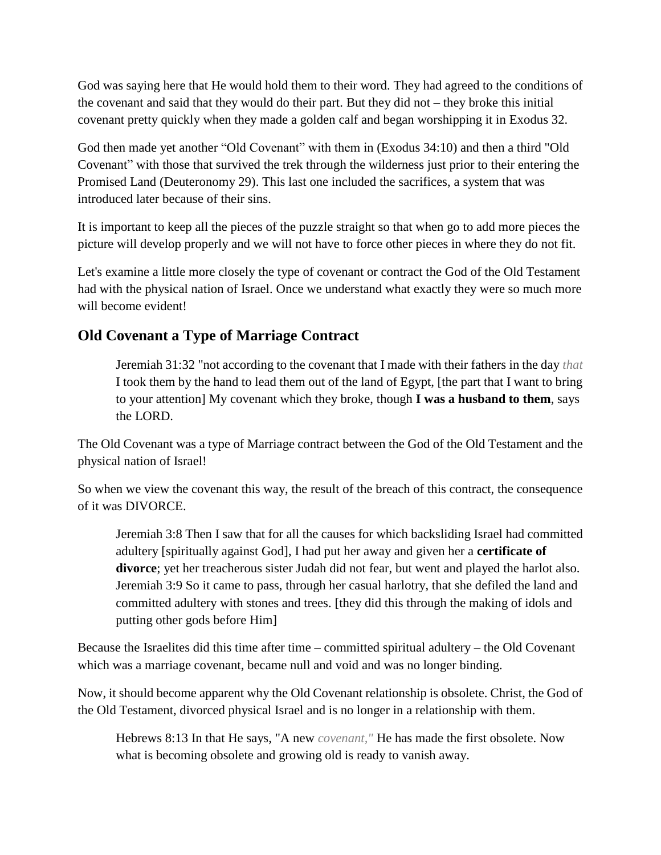God was saying here that He would hold them to their word. They had agreed to the conditions of the covenant and said that they would do their part. But they did not – they broke this initial covenant pretty quickly when they made a golden calf and began worshipping it in Exodus 32.

God then made yet another "Old Covenant" with them in (Exodus 34:10) and then a third "Old Covenant" with those that survived the trek through the wilderness just prior to their entering the Promised Land (Deuteronomy 29). This last one included the sacrifices, a system that was introduced later because of their sins.

It is important to keep all the pieces of the puzzle straight so that when go to add more pieces the picture will develop properly and we will not have to force other pieces in where they do not fit.

Let's examine a little more closely the type of covenant or contract the God of the Old Testament had with the physical nation of Israel. Once we understand what exactly they were so much more will become evident!

# **Old Covenant a Type of Marriage Contract**

Jeremiah 31:32 "not according to the covenant that I made with their fathers in the day *that* I took them by the hand to lead them out of the land of Egypt, [the part that I want to bring to your attention] My covenant which they broke, though **I was a husband to them**, says the LORD.

The Old Covenant was a type of Marriage contract between the God of the Old Testament and the physical nation of Israel!

So when we view the covenant this way, the result of the breach of this contract, the consequence of it was DIVORCE.

Jeremiah 3:8 Then I saw that for all the causes for which backsliding Israel had committed adultery [spiritually against God], I had put her away and given her a **certificate of divorce**; yet her treacherous sister Judah did not fear, but went and played the harlot also. Jeremiah 3:9 So it came to pass, through her casual harlotry, that she defiled the land and committed adultery with stones and trees. [they did this through the making of idols and putting other gods before Him]

Because the Israelites did this time after time – committed spiritual adultery – the Old Covenant which was a marriage covenant, became null and void and was no longer binding.

Now, it should become apparent why the Old Covenant relationship is obsolete. Christ, the God of the Old Testament, divorced physical Israel and is no longer in a relationship with them.

Hebrews 8:13 In that He says, "A new *covenant,"* He has made the first obsolete. Now what is becoming obsolete and growing old is ready to vanish away.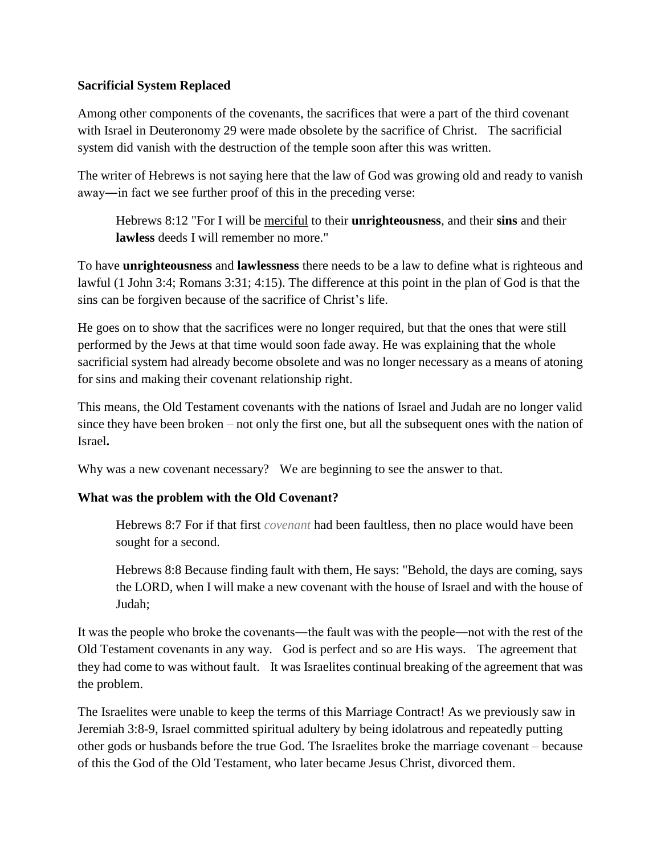#### **Sacrificial System Replaced**

Among other components of the covenants, the sacrifices that were a part of the third covenant with Israel in Deuteronomy 29 were made obsolete by the sacrifice of Christ. The sacrificial system did vanish with the destruction of the temple soon after this was written.

The writer of Hebrews is not saying here that the law of God was growing old and ready to vanish away―in fact we see further proof of this in the preceding verse:

Hebrews 8:12 "For I will be merciful to their **unrighteousness**, and their **sins** and their **lawless** deeds I will remember no more."

To have **unrighteousness** and **lawlessness** there needs to be a law to define what is righteous and lawful (1 John 3:4; Romans 3:31; 4:15). The difference at this point in the plan of God is that the sins can be forgiven because of the sacrifice of Christ's life.

He goes on to show that the sacrifices were no longer required, but that the ones that were still performed by the Jews at that time would soon fade away. He was explaining that the whole sacrificial system had already become obsolete and was no longer necessary as a means of atoning for sins and making their covenant relationship right.

This means, the Old Testament covenants with the nations of Israel and Judah are no longer valid since they have been broken – not only the first one, but all the subsequent ones with the nation of Israel**.**

Why was a new covenant necessary? We are beginning to see the answer to that.

#### **What was the problem with the Old Covenant?**

Hebrews 8:7 For if that first *covenant* had been faultless, then no place would have been sought for a second.

Hebrews 8:8 Because finding fault with them, He says: "Behold, the days are coming, says the LORD, when I will make a new covenant with the house of Israel and with the house of Judah;

It was the people who broke the covenants—the fault was with the people—not with the rest of the Old Testament covenants in any way. God is perfect and so are His ways. The agreement that they had come to was without fault. It was Israelites continual breaking of the agreement that was the problem.

The Israelites were unable to keep the terms of this Marriage Contract! As we previously saw in Jeremiah 3:8-9, Israel committed spiritual adultery by being idolatrous and repeatedly putting other gods or husbands before the true God. The Israelites broke the marriage covenant – because of this the God of the Old Testament, who later became Jesus Christ, divorced them.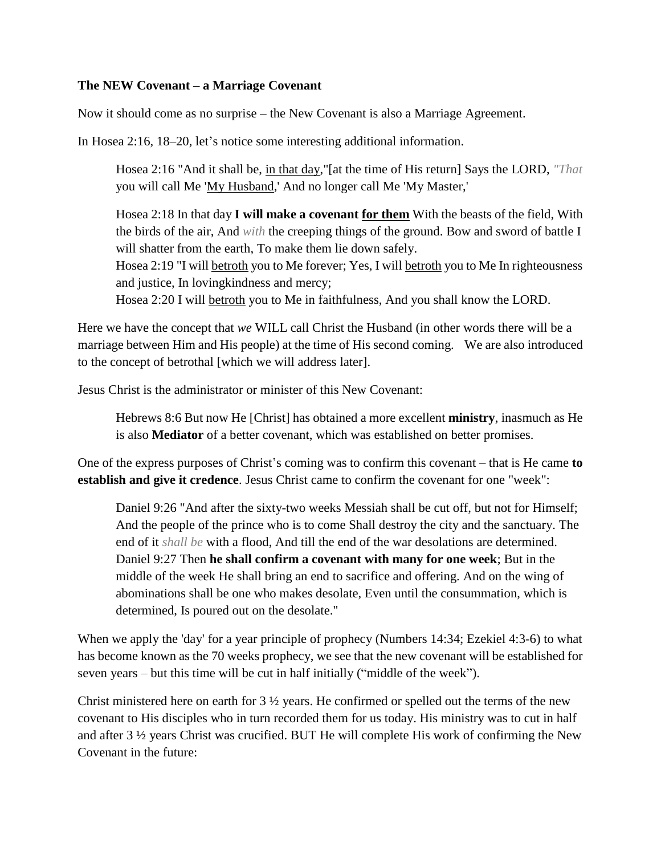#### **The NEW Covenant – a Marriage Covenant**

Now it should come as no surprise – the New Covenant is also a Marriage Agreement.

In Hosea 2:16, 18–20, let's notice some interesting additional information.

Hosea 2:16 "And it shall be, in that day,"[at the time of His return] Says the LORD, *"That* you will call Me 'My Husband,' And no longer call Me 'My Master,'

Hosea 2:18 In that day **I will make a covenant for them** With the beasts of the field, With the birds of the air, And *with* the creeping things of the ground. Bow and sword of battle I will shatter from the earth, To make them lie down safely.

Hosea 2:19 "I will betroth you to Me forever; Yes, I will betroth you to Me In righteousness and justice, In lovingkindness and mercy;

Hosea 2:20 I will betroth you to Me in faithfulness, And you shall know the LORD.

Here we have the concept that *we* WILL call Christ the Husband (in other words there will be a marriage between Him and His people) at the time of His second coming. We are also introduced to the concept of betrothal [which we will address later].

Jesus Christ is the administrator or minister of this New Covenant:

Hebrews 8:6 But now He [Christ] has obtained a more excellent **ministry**, inasmuch as He is also **Mediator** of a better covenant, which was established on better promises.

One of the express purposes of Christ's coming was to confirm this covenant – that is He came **to establish and give it credence**. Jesus Christ came to confirm the covenant for one "week":

Daniel 9:26 "And after the sixty-two weeks Messiah shall be cut off, but not for Himself; And the people of the prince who is to come Shall destroy the city and the sanctuary. The end of it *shall be* with a flood, And till the end of the war desolations are determined. Daniel 9:27 Then **he shall confirm a covenant with many for one week**; But in the middle of the week He shall bring an end to sacrifice and offering. And on the wing of abominations shall be one who makes desolate, Even until the consummation, which is determined, Is poured out on the desolate."

When we apply the 'day' for a year principle of prophecy (Numbers 14:34; Ezekiel 4:3-6) to what has become known as the 70 weeks prophecy, we see that the new covenant will be established for seven years – but this time will be cut in half initially ("middle of the week").

Christ ministered here on earth for  $3\frac{1}{2}$  years. He confirmed or spelled out the terms of the new covenant to His disciples who in turn recorded them for us today. His ministry was to cut in half and after 3 ½ years Christ was crucified. BUT He will complete His work of confirming the New Covenant in the future: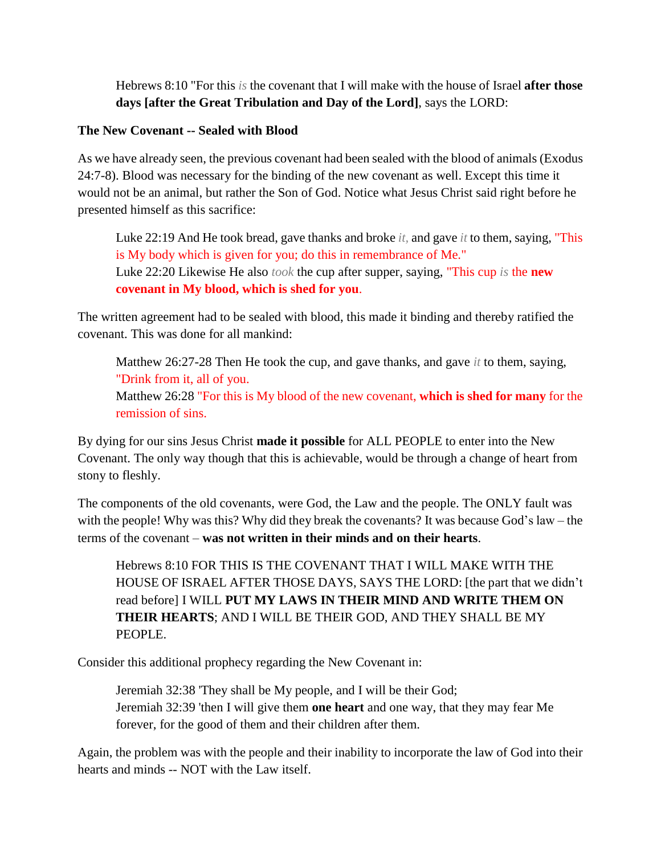Hebrews 8:10 "For this *is* the covenant that I will make with the house of Israel **after those days [after the Great Tribulation and Day of the Lord]**, says the LORD:

#### **The New Covenant -- Sealed with Blood**

As we have already seen, the previous covenant had been sealed with the blood of animals (Exodus 24:7-8). Blood was necessary for the binding of the new covenant as well. Except this time it would not be an animal, but rather the Son of God. Notice what Jesus Christ said right before he presented himself as this sacrifice:

Luke 22:19 And He took bread, gave thanks and broke *it,* and gave *it* to them, saying, "This is My body which is given for you; do this in remembrance of Me." Luke 22:20 Likewise He also *took* the cup after supper, saying, "This cup *is* the **new covenant in My blood, which is shed for you**.

The written agreement had to be sealed with blood, this made it binding and thereby ratified the covenant. This was done for all mankind:

Matthew 26:27-28 Then He took the cup, and gave thanks, and gave *it* to them, saying, "Drink from it, all of you.

Matthew 26:28 "For this is My blood of the new covenant, **which is shed for many** for the remission of sins.

By dying for our sins Jesus Christ **made it possible** for ALL PEOPLE to enter into the New Covenant. The only way though that this is achievable, would be through a change of heart from stony to fleshly.

The components of the old covenants, were God, the Law and the people. The ONLY fault was with the people! Why was this? Why did they break the covenants? It was because God's law – the terms of the covenant – **was not written in their minds and on their hearts**.

Hebrews 8:10 FOR THIS IS THE COVENANT THAT I WILL MAKE WITH THE HOUSE OF ISRAEL AFTER THOSE DAYS, SAYS THE LORD: [the part that we didn't read before] I WILL **PUT MY LAWS IN THEIR MIND AND WRITE THEM ON THEIR HEARTS**; AND I WILL BE THEIR GOD, AND THEY SHALL BE MY PEOPLE.

Consider this additional prophecy regarding the New Covenant in:

Jeremiah 32:38 'They shall be My people, and I will be their God; Jeremiah 32:39 'then I will give them **one heart** and one way, that they may fear Me forever, for the good of them and their children after them.

Again, the problem was with the people and their inability to incorporate the law of God into their hearts and minds -- NOT with the Law itself.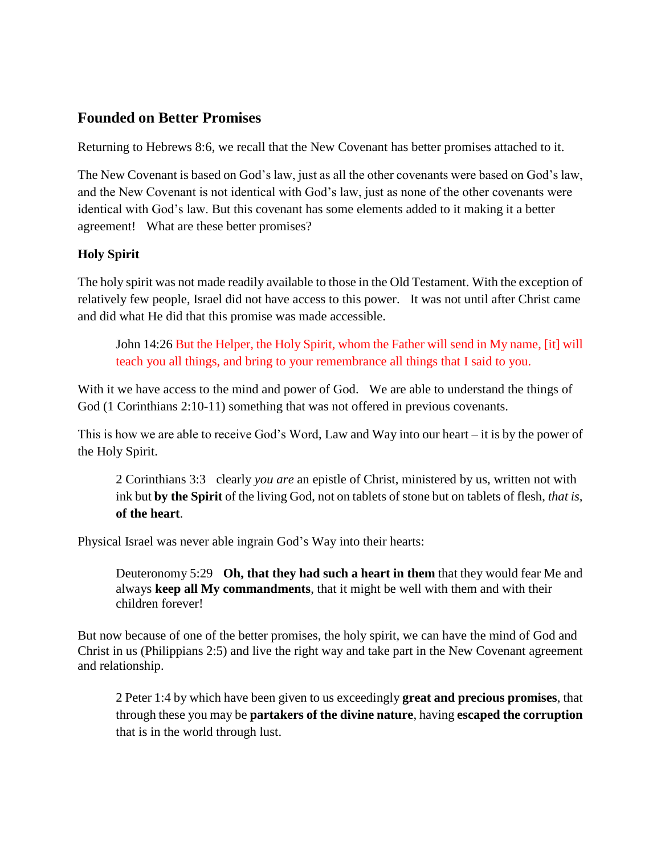## **Founded on Better Promises**

Returning to Hebrews 8:6, we recall that the New Covenant has better promises attached to it.

The New Covenant is based on God's law, just as all the other covenants were based on God's law, and the New Covenant is not identical with God's law, just as none of the other covenants were identical with God's law. But this covenant has some elements added to it making it a better agreement! What are these better promises?

## **Holy Spirit**

The holy spirit was not made readily available to those in the Old Testament. With the exception of relatively few people, Israel did not have access to this power. It was not until after Christ came and did what He did that this promise was made accessible.

John 14:26 But the Helper, the Holy Spirit, whom the Father will send in My name, [it] will teach you all things, and bring to your remembrance all things that I said to you.

With it we have access to the mind and power of God. We are able to understand the things of God (1 Corinthians 2:10-11) something that was not offered in previous covenants.

This is how we are able to receive God's Word, Law and Way into our heart – it is by the power of the Holy Spirit.

2 Corinthians 3:3 clearly *you are* an epistle of Christ, ministered by us, written not with ink but **by the Spirit** of the living God, not on tablets of stone but on tablets of flesh, *that is,* **of the heart**.

Physical Israel was never able ingrain God's Way into their hearts:

Deuteronomy 5:29 **Oh, that they had such a heart in them** that they would fear Me and always **keep all My commandments**, that it might be well with them and with their children forever!

But now because of one of the better promises, the holy spirit, we can have the mind of God and Christ in us (Philippians 2:5) and live the right way and take part in the New Covenant agreement and relationship.

2 Peter 1:4 by which have been given to us exceedingly **great and precious promises**, that through these you may be **partakers of the divine nature**, having **escaped the corruption** that is in the world through lust.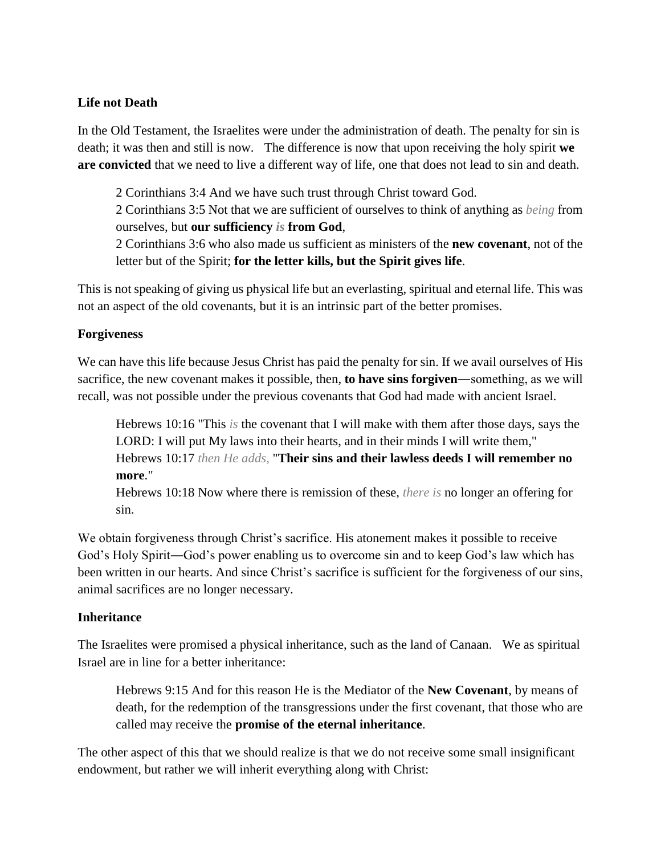#### **Life not Death**

In the Old Testament, the Israelites were under the administration of death. The penalty for sin is death; it was then and still is now. The difference is now that upon receiving the holy spirit **we are convicted** that we need to live a different way of life, one that does not lead to sin and death.

2 Corinthians 3:4 And we have such trust through Christ toward God.

2 Corinthians 3:5 Not that we are sufficient of ourselves to think of anything as *being* from ourselves, but **our sufficiency** *is* **from God**,

2 Corinthians 3:6 who also made us sufficient as ministers of the **new covenant**, not of the letter but of the Spirit; **for the letter kills, but the Spirit gives life**.

This is not speaking of giving us physical life but an everlasting, spiritual and eternal life. This was not an aspect of the old covenants, but it is an intrinsic part of the better promises.

## **Forgiveness**

We can have this life because Jesus Christ has paid the penalty for sin. If we avail ourselves of His sacrifice, the new covenant makes it possible, then, **to have sins forgiven**―something, as we will recall, was not possible under the previous covenants that God had made with ancient Israel.

Hebrews 10:16 "This *is* the covenant that I will make with them after those days, says the LORD: I will put My laws into their hearts, and in their minds I will write them," Hebrews 10:17 *then He adds,* "**Their sins and their lawless deeds I will remember no more**."

Hebrews 10:18 Now where there is remission of these, *there is* no longer an offering for sin.

We obtain forgiveness through Christ's sacrifice. His atonement makes it possible to receive God's Holy Spirit―God's power enabling us to overcome sin and to keep God's law which has been written in our hearts. And since Christ's sacrifice is sufficient for the forgiveness of our sins, animal sacrifices are no longer necessary.

## **Inheritance**

The Israelites were promised a physical inheritance, such as the land of Canaan. We as spiritual Israel are in line for a better inheritance:

Hebrews 9:15 And for this reason He is the Mediator of the **New Covenant**, by means of death, for the redemption of the transgressions under the first covenant, that those who are called may receive the **promise of the eternal inheritance**.

The other aspect of this that we should realize is that we do not receive some small insignificant endowment, but rather we will inherit everything along with Christ: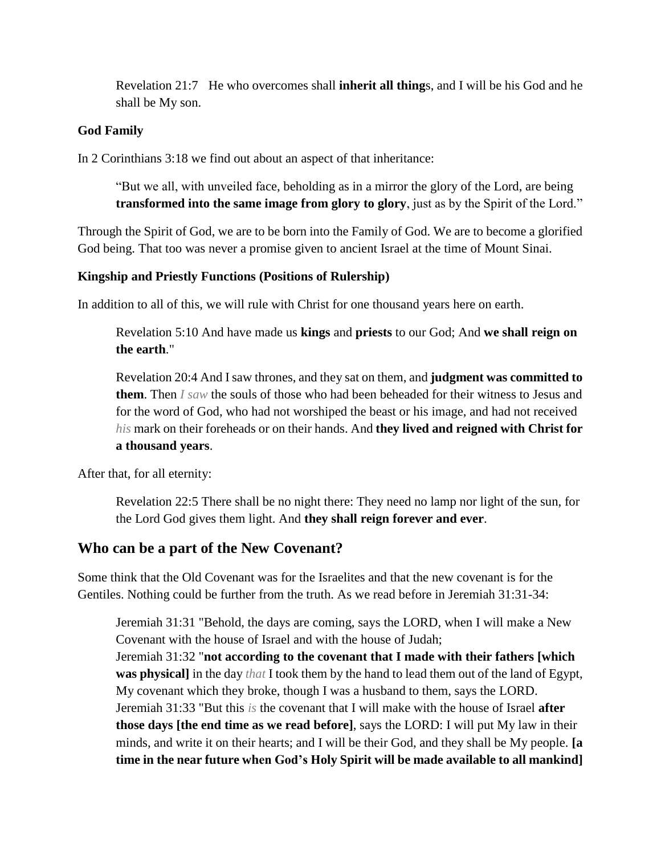Revelation 21:7 He who overcomes shall **inherit all thing**s, and I will be his God and he shall be My son.

#### **God Family**

In 2 Corinthians 3:18 we find out about an aspect of that inheritance:

"But we all, with unveiled face, beholding as in a mirror the glory of the Lord, are being **transformed into the same image from glory to glory**, just as by the Spirit of the Lord."

Through the Spirit of God, we are to be born into the Family of God. We are to become a glorified God being. That too was never a promise given to ancient Israel at the time of Mount Sinai.

#### **Kingship and Priestly Functions (Positions of Rulership)**

In addition to all of this, we will rule with Christ for one thousand years here on earth.

Revelation 5:10 And have made us **kings** and **priests** to our God; And **we shall reign on the earth**."

Revelation 20:4 And I saw thrones, and they sat on them, and **judgment was committed to them**. Then *I saw* the souls of those who had been beheaded for their witness to Jesus and for the word of God, who had not worshiped the beast or his image, and had not received *his* mark on their foreheads or on their hands. And **they lived and reigned with Christ for a thousand years**.

After that, for all eternity:

Revelation 22:5 There shall be no night there: They need no lamp nor light of the sun, for the Lord God gives them light. And **they shall reign forever and ever**.

## **Who can be a part of the New Covenant?**

Some think that the Old Covenant was for the Israelites and that the new covenant is for the Gentiles. Nothing could be further from the truth. As we read before in Jeremiah 31:31-34:

Jeremiah 31:31 "Behold, the days are coming, says the LORD, when I will make a New Covenant with the house of Israel and with the house of Judah; Jeremiah 31:32 "**not according to the covenant that I made with their fathers [which was physical]** in the day *that* I took them by the hand to lead them out of the land of Egypt, My covenant which they broke, though I was a husband to them, says the LORD. Jeremiah 31:33 "But this *is* the covenant that I will make with the house of Israel **after those days [the end time as we read before]**, says the LORD: I will put My law in their minds, and write it on their hearts; and I will be their God, and they shall be My people. **[a time in the near future when God's Holy Spirit will be made available to all mankind]**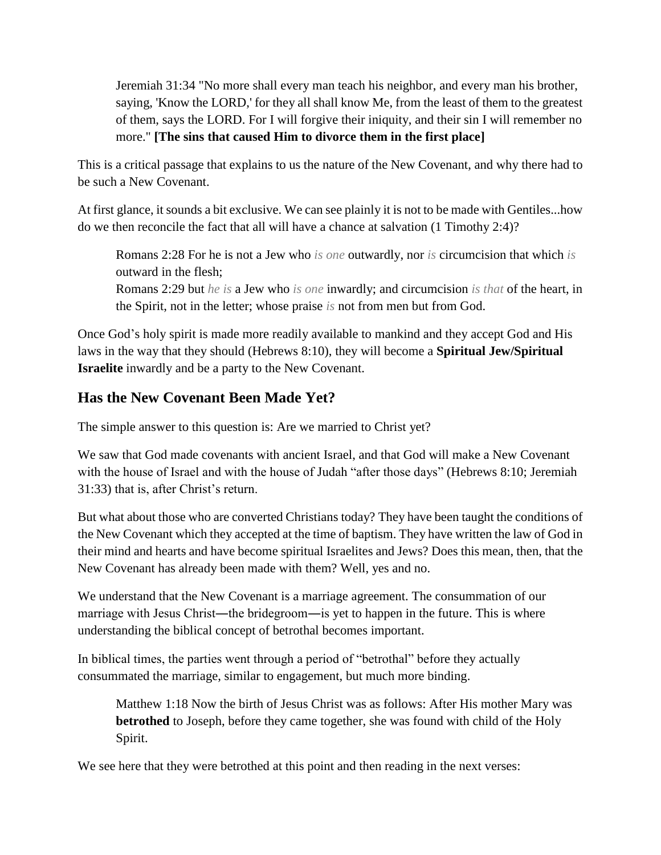Jeremiah 31:34 "No more shall every man teach his neighbor, and every man his brother, saying, 'Know the LORD,' for they all shall know Me, from the least of them to the greatest of them, says the LORD. For I will forgive their iniquity, and their sin I will remember no more." **[The sins that caused Him to divorce them in the first place]**

This is a critical passage that explains to us the nature of the New Covenant, and why there had to be such a New Covenant.

At first glance, it sounds a bit exclusive. We can see plainly it is not to be made with Gentiles...how do we then reconcile the fact that all will have a chance at salvation (1 Timothy 2:4)?

Romans 2:28 For he is not a Jew who *is one* outwardly, nor *is* circumcision that which *is* outward in the flesh; Romans 2:29 but *he is* a Jew who *is one* inwardly; and circumcision *is that* of the heart, in the Spirit, not in the letter; whose praise *is* not from men but from God.

Once God's holy spirit is made more readily available to mankind and they accept God and His laws in the way that they should (Hebrews 8:10), they will become a **Spiritual Jew/Spiritual Israelite** inwardly and be a party to the New Covenant.

# **Has the New Covenant Been Made Yet?**

The simple answer to this question is: Are we married to Christ yet?

We saw that God made covenants with ancient Israel, and that God will make a New Covenant with the house of Israel and with the house of Judah "after those days" (Hebrews 8:10; Jeremiah 31:33) that is, after Christ's return.

But what about those who are converted Christians today? They have been taught the conditions of the New Covenant which they accepted at the time of baptism. They have written the law of God in their mind and hearts and have become spiritual Israelites and Jews? Does this mean, then, that the New Covenant has already been made with them? Well, yes and no.

We understand that the New Covenant is a marriage agreement. The consummation of our marriage with Jesus Christ—the bridegroom—is yet to happen in the future. This is where understanding the biblical concept of betrothal becomes important.

In biblical times, the parties went through a period of "betrothal" before they actually consummated the marriage, similar to engagement, but much more binding.

Matthew 1:18 Now the birth of Jesus Christ was as follows: After His mother Mary was **betrothed** to Joseph, before they came together, she was found with child of the Holy Spirit.

We see here that they were betrothed at this point and then reading in the next verses: